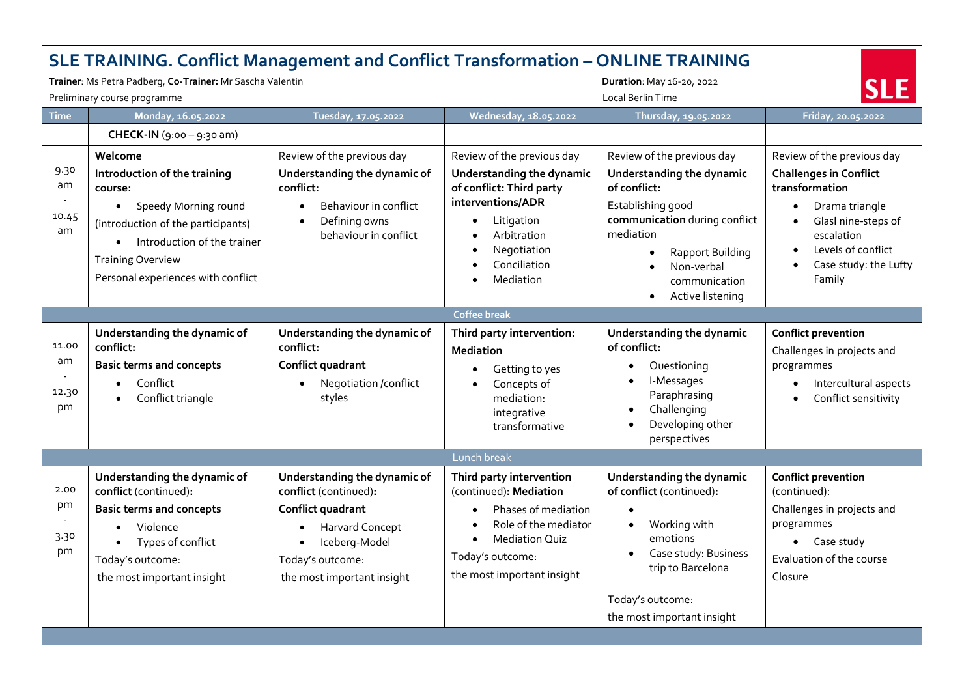|                            | <b>SLE TRAINING. Conflict Management and Conflict Transformation - ONLINE TRAINING</b><br>Trainer: Ms Petra Padberg, Co-Trainer: Mr Sascha Valentin<br>Preliminary course programme                                              |                                                                                                                                                                                                   |                                                                                                                                                                                                             | Duration: May 16-20, 2022<br><b>Local Berlin Time</b>                                                                                                                                                             |                                                                                                                                                                                                                         |  |  |  |  |
|----------------------------|----------------------------------------------------------------------------------------------------------------------------------------------------------------------------------------------------------------------------------|---------------------------------------------------------------------------------------------------------------------------------------------------------------------------------------------------|-------------------------------------------------------------------------------------------------------------------------------------------------------------------------------------------------------------|-------------------------------------------------------------------------------------------------------------------------------------------------------------------------------------------------------------------|-------------------------------------------------------------------------------------------------------------------------------------------------------------------------------------------------------------------------|--|--|--|--|
| <b>Time</b>                | Monday, 16.05.2022                                                                                                                                                                                                               | Tuesday, 17.05.2022                                                                                                                                                                               | Wednesday, 18.05.2022                                                                                                                                                                                       | Thursday, 19.05.2022                                                                                                                                                                                              | Friday, 20.05.2022                                                                                                                                                                                                      |  |  |  |  |
|                            | <b>CHECK-IN</b> $(g.00 - g.30$ am)                                                                                                                                                                                               |                                                                                                                                                                                                   |                                                                                                                                                                                                             |                                                                                                                                                                                                                   |                                                                                                                                                                                                                         |  |  |  |  |
| 9.30<br>am<br>10.45<br>am  | Welcome<br>Introduction of the training<br>course:<br>• Speedy Morning round<br>(introduction of the participants)<br>Introduction of the trainer<br>$\bullet$<br><b>Training Overview</b><br>Personal experiences with conflict | Review of the previous day<br>Understanding the dynamic of<br>conflict:<br>Behaviour in conflict<br>$\bullet$<br>Defining owns<br>$\bullet$<br>behaviour in conflict                              | Review of the previous day<br>Understanding the dynamic<br>of conflict: Third party<br>interventions/ADR<br>Litigation<br>$\bullet$<br>Arbitration<br>$\bullet$<br>Negotiation<br>Conciliation<br>Mediation | Review of the previous day<br>Understanding the dynamic<br>of conflict:<br>Establishing good<br>communication during conflict<br>mediation<br>Rapport Building<br>Non-verbal<br>communication<br>Active listening | Review of the previous day<br><b>Challenges in Conflict</b><br>transformation<br>Drama triangle<br>$\bullet$<br>Glasl nine-steps of<br>$\bullet$<br>escalation<br>Levels of conflict<br>Case study: the Lufty<br>Family |  |  |  |  |
| <b>Coffee break</b>        |                                                                                                                                                                                                                                  |                                                                                                                                                                                                   |                                                                                                                                                                                                             |                                                                                                                                                                                                                   |                                                                                                                                                                                                                         |  |  |  |  |
| 11.00<br>am<br>12.30<br>pm | Understanding the dynamic of<br>conflict:<br><b>Basic terms and concepts</b><br>Conflict<br>$\bullet$<br>Conflict triangle                                                                                                       | Understanding the dynamic of<br>conflict:<br>Conflict quadrant<br>Negotiation /conflict<br>$\bullet$<br>styles                                                                                    | Third party intervention:<br><b>Mediation</b><br>Getting to yes<br>Concepts of<br>mediation:<br>integrative<br>transformative                                                                               | Understanding the dynamic<br>of conflict:<br>Questioning<br>I-Messages<br>Paraphrasing<br>Challenging<br>Developing other<br>perspectives                                                                         | <b>Conflict prevention</b><br>Challenges in projects and<br>programmes<br>Intercultural aspects<br>Conflict sensitivity                                                                                                 |  |  |  |  |
|                            |                                                                                                                                                                                                                                  |                                                                                                                                                                                                   | Lunch break                                                                                                                                                                                                 |                                                                                                                                                                                                                   |                                                                                                                                                                                                                         |  |  |  |  |
| 2.00<br>pm<br>3.30<br>pm   | Understanding the dynamic of<br>conflict (continued):<br><b>Basic terms and concepts</b><br>Violence<br>$\bullet$<br>Types of conflict<br>$\bullet$<br>Today's outcome:<br>the most important insight                            | Understanding the dynamic of<br>conflict (continued):<br>Conflict quadrant<br><b>Harvard Concept</b><br>$\bullet$<br>Iceberg-Model<br>$\bullet$<br>Today's outcome:<br>the most important insight | Third party intervention<br>(continued): Mediation<br>Phases of mediation<br>Role of the mediator<br><b>Mediation Quiz</b><br>$\bullet$<br>Today's outcome:<br>the most important insight                   | Understanding the dynamic<br>of conflict (continued):<br>Working with<br>$\bullet$<br>emotions<br>Case study: Business<br>trip to Barcelona<br>Today's outcome:<br>the most important insight                     | <b>Conflict prevention</b><br>(continued):<br>Challenges in projects and<br>programmes<br>• Case study<br>Evaluation of the course<br>Closure                                                                           |  |  |  |  |